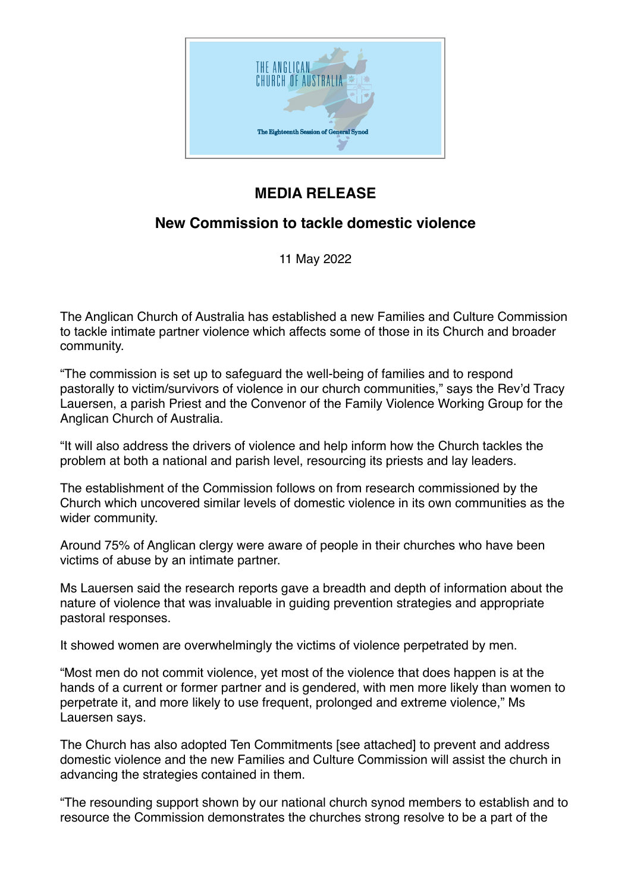

## **MEDIA RELEASE**

## **New Commission to tackle domestic violence**

11 May 2022

The Anglican Church of Australia has established a new Families and Culture Commission to tackle intimate partner violence which affects some of those in its Church and broader community.

"The commission is set up to safeguard the well-being of families and to respond pastorally to victim/survivors of violence in our church communities," says the Rev'd Tracy Lauersen, a parish Priest and the Convenor of the Family Violence Working Group for the Anglican Church of Australia.

"It will also address the drivers of violence and help inform how the Church tackles the problem at both a national and parish level, resourcing its priests and lay leaders.

The establishment of the Commission follows on from research commissioned by the Church which uncovered similar levels of domestic violence in its own communities as the wider community.

Around 75% of Anglican clergy were aware of people in their churches who have been victims of abuse by an intimate partner.

Ms Lauersen said the research reports gave a breadth and depth of information about the nature of violence that was invaluable in guiding prevention strategies and appropriate pastoral responses.

It showed women are overwhelmingly the victims of violence perpetrated by men.

"Most men do not commit violence, yet most of the violence that does happen is at the hands of a current or former partner and is gendered, with men more likely than women to perpetrate it, and more likely to use frequent, prolonged and extreme violence," Ms Lauersen says.

The Church has also adopted Ten Commitments [see attached] to prevent and address domestic violence and the new Families and Culture Commission will assist the church in advancing the strategies contained in them.

"The resounding support shown by our national church synod members to establish and to resource the Commission demonstrates the churches strong resolve to be a part of the